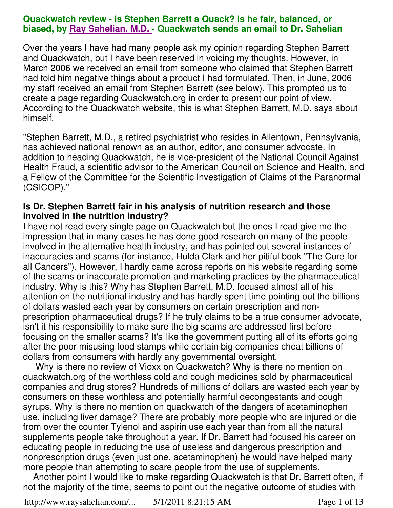### **Quackwatch review - Is Stephen Barrett a Quack? Is he fair, balanced, or biased, by Ray Sahelian, M.D. - Quackwatch sends an email to Dr. Sahelian**

Over the years I have had many people ask my opinion regarding Stephen Barrett and Quackwatch, but I have been reserved in voicing my thoughts. However, in March 2006 we received an email from someone who claimed that Stephen Barrett had told him negative things about a product I had formulated. Then, in June, 2006 my staff received an email from Stephen Barrett (see below). This prompted us to create a page regarding Quackwatch.org in order to present our point of view. According to the Quackwatch website, this is what Stephen Barrett, M.D. says about himself.

"Stephen Barrett, M.D., a retired psychiatrist who resides in Allentown, Pennsylvania, has achieved national renown as an author, editor, and consumer advocate. In addition to heading Quackwatch, he is vice-president of the National Council Against Health Fraud, a scientific advisor to the American Council on Science and Health, and a Fellow of the Committee for the Scientific Investigation of Claims of the Paranormal (CSICOP)."

## **Is Dr. Stephen Barrett fair in his analysis of nutrition research and those involved in the nutrition industry?**

I have not read every single page on Quackwatch but the ones I read give me the impression that in many cases he has done good research on many of the people involved in the alternative health industry, and has pointed out several instances of inaccuracies and scams (for instance, Hulda Clark and her pitiful book "The Cure for all Cancers"). However, I hardly came across reports on his website regarding some of the scams or inaccurate promotion and marketing practices by the pharmaceutical industry. Why is this? Why has Stephen Barrett, M.D. focused almost all of his attention on the nutritional industry and has hardly spent time pointing out the billions of dollars wasted each year by consumers on certain prescription and nonprescription pharmaceutical drugs? If he truly claims to be a true consumer advocate, isn't it his responsibility to make sure the big scams are addressed first before focusing on the smaller scams? It's like the government putting all of its efforts going after the poor misusing food stamps while certain big companies cheat billions of dollars from consumers with hardly any governmental oversight.

 Why is there no review of Vioxx on Quackwatch? Why is there no mention on quackwatch.org of the worthless cold and cough medicines sold by pharmaceutical companies and drug stores? Hundreds of millions of dollars are wasted each year by consumers on these worthless and potentially harmful decongestants and cough syrups. Why is there no mention on quackwatch of the dangers of acetaminophen use, including liver damage? There are probably more people who are injured or die from over the counter Tylenol and aspirin use each year than from all the natural supplements people take throughout a year. If Dr. Barrett had focused his career on educating people in reducing the use of useless and dangerous prescription and nonprescription drugs (even just one, acetaminophen) he would have helped many more people than attempting to scare people from the use of supplements.

 Another point I would like to make regarding Quackwatch is that Dr. Barrett often, if not the majority of the time, seems to point out the negative outcome of studies with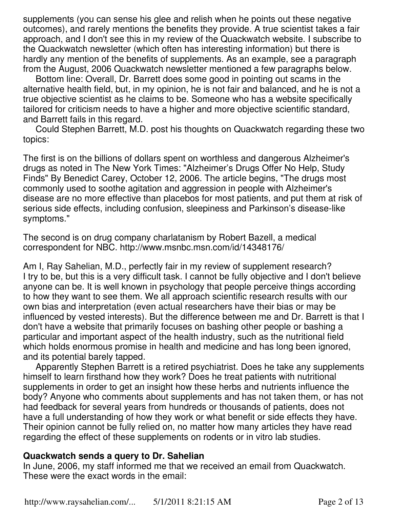supplements (you can sense his glee and relish when he points out these negative outcomes), and rarely mentions the benefits they provide. A true scientist takes a fair approach, and I don't see this in my review of the Quackwatch website. I subscribe to the Quackwatch newsletter (which often has interesting information) but there is hardly any mention of the benefits of supplements. As an example, see a paragraph from the August, 2006 Quackwatch newsletter mentioned a few paragraphs below.

 Bottom line: Overall, Dr. Barrett does some good in pointing out scams in the alternative health field, but, in my opinion, he is not fair and balanced, and he is not a true objective scientist as he claims to be. Someone who has a website specifically tailored for criticism needs to have a higher and more objective scientific standard, and Barrett fails in this regard.

 Could Stephen Barrett, M.D. post his thoughts on Quackwatch regarding these two topics:

The first is on the billions of dollars spent on worthless and dangerous Alzheimer's drugs as noted in The New York Times: "Alzheimer's Drugs Offer No Help, Study Finds" By Benedict Carey, October 12, 2006. The article begins, "The drugs most commonly used to soothe agitation and aggression in people with Alzheimer's disease are no more effective than placebos for most patients, and put them at risk of serious side effects, including confusion, sleepiness and Parkinson's disease-like symptoms."

The second is on drug company charlatanism by Robert Bazell, a medical correspondent for NBC. http://www.msnbc.msn.com/id/14348176/

Am I, Ray Sahelian, M.D., perfectly fair in my review of supplement research? I try to be, but this is a very difficult task. I cannot be fully objective and I don't believe anyone can be. It is well known in psychology that people perceive things according to how they want to see them. We all approach scientific research results with our own bias and interpretation (even actual researchers have their bias or may be influenced by vested interests). But the difference between me and Dr. Barrett is that I don't have a website that primarily focuses on bashing other people or bashing a particular and important aspect of the health industry, such as the nutritional field which holds enormous promise in health and medicine and has long been ignored, and its potential barely tapped.

 Apparently Stephen Barrett is a retired psychiatrist. Does he take any supplements himself to learn firsthand how they work? Does he treat patients with nutritional supplements in order to get an insight how these herbs and nutrients influence the body? Anyone who comments about supplements and has not taken them, or has not had feedback for several years from hundreds or thousands of patients, does not have a full understanding of how they work or what benefit or side effects they have. Their opinion cannot be fully relied on, no matter how many articles they have read regarding the effect of these supplements on rodents or in vitro lab studies.

#### **Quackwatch sends a query to Dr. Sahelian**

In June, 2006, my staff informed me that we received an email from Quackwatch. These were the exact words in the email: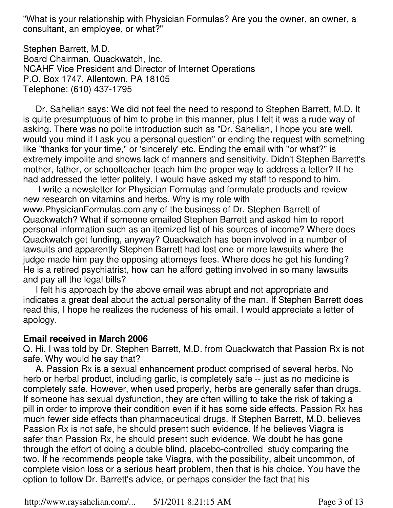"What is your relationship with Physician Formulas? Are you the owner, an owner, a consultant, an employee, or what?"

Stephen Barrett, M.D. Board Chairman, Quackwatch, Inc. NCAHF Vice President and Director of Internet Operations P.O. Box 1747, Allentown, PA 18105 Telephone: (610) 437-1795

 Dr. Sahelian says: We did not feel the need to respond to Stephen Barrett, M.D. It is quite presumptuous of him to probe in this manner, plus I felt it was a rude way of asking. There was no polite introduction such as "Dr. Sahelian, I hope you are well, would you mind if I ask you a personal question" or ending the request with something like "thanks for your time," or 'sincerely' etc. Ending the email with "or what?" is extremely impolite and shows lack of manners and sensitivity. Didn't Stephen Barrett's mother, father, or schoolteacher teach him the proper way to address a letter? If he had addressed the letter politely, I would have asked my staff to respond to him.

 I write a newsletter for Physician Formulas and formulate products and review new research on vitamins and herbs. Why is my role with www.PhysicianFormulas.com any of the business of Dr. Stephen Barrett of Quackwatch? What if someone emailed Stephen Barrett and asked him to report personal information such as an itemized list of his sources of income? Where does Quackwatch get funding, anyway? Quackwatch has been involved in a number of lawsuits and apparently Stephen Barrett had lost one or more lawsuits where the judge made him pay the opposing attorneys fees. Where does he get his funding? He is a retired psychiatrist, how can he afford getting involved in so many lawsuits and pay all the legal bills?

 I felt his approach by the above email was abrupt and not appropriate and indicates a great deal about the actual personality of the man. If Stephen Barrett does read this, I hope he realizes the rudeness of his email. I would appreciate a letter of apology.

#### **Email received in March 2006**

Q. Hi, I was told by Dr. Stephen Barrett, M.D. from Quackwatch that Passion Rx is not safe. Why would he say that?

 A. Passion Rx is a sexual enhancement product comprised of several herbs. No herb or herbal product, including garlic, is completely safe -- just as no medicine is completely safe. However, when used properly, herbs are generally safer than drugs. If someone has sexual dysfunction, they are often willing to take the risk of taking a pill in order to improve their condition even if it has some side effects. Passion Rx has much fewer side effects than pharmaceutical drugs. If Stephen Barrett, M.D. believes Passion Rx is not safe, he should present such evidence. If he believes Viagra is safer than Passion Rx, he should present such evidence. We doubt he has gone through the effort of doing a double blind, placebo-controlled study comparing the two. If he recommends people take Viagra, with the possibility, albeit uncommon, of complete vision loss or a serious heart problem, then that is his choice. You have the option to follow Dr. Barrett's advice, or perhaps consider the fact that his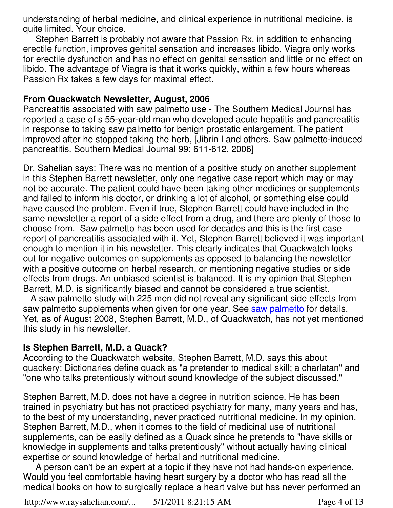understanding of herbal medicine, and clinical experience in nutritional medicine, is quite limited. Your choice.

 Stephen Barrett is probably not aware that Passion Rx, in addition to enhancing erectile function, improves genital sensation and increases libido. Viagra only works for erectile dysfunction and has no effect on genital sensation and little or no effect on libido. The advantage of Viagra is that it works quickly, within a few hours whereas Passion Rx takes a few days for maximal effect.

# **From Quackwatch Newsletter, August, 2006**

Pancreatitis associated with saw palmetto use - The Southern Medical Journal has reported a case of s 55-year-old man who developed acute hepatitis and pancreatitis in response to taking saw palmetto for benign prostatic enlargement. The patient improved after he stopped taking the herb, [Jibrin I and others. Saw palmetto-induced pancreatitis. Southern Medical Journal 99: 611-612, 2006]

Dr. Sahelian says: There was no mention of a positive study on another supplement in this Stephen Barrett newsletter, only one negative case report which may or may not be accurate. The patient could have been taking other medicines or supplements and failed to inform his doctor, or drinking a lot of alcohol, or something else could have caused the problem. Even if true, Stephen Barrett could have included in the same newsletter a report of a side effect from a drug, and there are plenty of those to choose from. Saw palmetto has been used for decades and this is the first case report of pancreatitis associated with it. Yet, Stephen Barrett believed it was important enough to mention it in his newsletter. This clearly indicates that Quackwatch looks out for negative outcomes on supplements as opposed to balancing the newsletter with a positive outcome on herbal research, or mentioning negative studies or side effects from drugs. An unbiased scientist is balanced. It is my opinion that Stephen Barrett, M.D. is significantly biased and cannot be considered a true scientist.

 A saw palmetto study with 225 men did not reveal any significant side effects from saw palmetto supplements when given for one year. See saw palmetto for details. Yet, as of August 2008, Stephen Barrett, M.D., of Quackwatch, has not yet mentioned this study in his newsletter.

## **Is Stephen Barrett, M.D. a Quack?**

According to the Quackwatch website, Stephen Barrett, M.D. says this about quackery: Dictionaries define quack as "a pretender to medical skill; a charlatan" and "one who talks pretentiously without sound knowledge of the subject discussed."

Stephen Barrett, M.D. does not have a degree in nutrition science. He has been trained in psychiatry but has not practiced psychiatry for many, many years and has, to the best of my understanding, never practiced nutritional medicine. In my opinion, Stephen Barrett, M.D., when it comes to the field of medicinal use of nutritional supplements, can be easily defined as a Quack since he pretends to "have skills or knowledge in supplements and talks pretentiously" without actually having clinical expertise or sound knowledge of herbal and nutritional medicine.

 A person can't be an expert at a topic if they have not had hands-on experience. Would you feel comfortable having heart surgery by a doctor who has read all the medical books on how to surgically replace a heart valve but has never performed an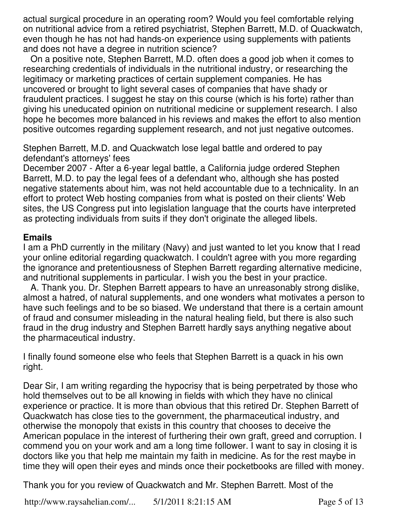actual surgical procedure in an operating room? Would you feel comfortable relying on nutritional advice from a retired psychiatrist, Stephen Barrett, M.D. of Quackwatch, even though he has not had hands-on experience using supplements with patients and does not have a degree in nutrition science?

 On a positive note, Stephen Barrett, M.D. often does a good job when it comes to researching credentials of individuals in the nutritional industry, or researching the legitimacy or marketing practices of certain supplement companies. He has uncovered or brought to light several cases of companies that have shady or fraudulent practices. I suggest he stay on this course (which is his forte) rather than giving his uneducated opinion on nutritional medicine or supplement research. I also hope he becomes more balanced in his reviews and makes the effort to also mention positive outcomes regarding supplement research, and not just negative outcomes.

Stephen Barrett, M.D. and Quackwatch lose legal battle and ordered to pay defendant's attorneys' fees

December 2007 - After a 6-year legal battle, a California judge ordered Stephen Barrett, M.D. to pay the legal fees of a defendant who, although she has posted negative statements about him, was not held accountable due to a technicality. In an effort to protect Web hosting companies from what is posted on their clients' Web sites, the US Congress put into legislation language that the courts have interpreted as protecting individuals from suits if they don't originate the alleged libels.

# **Emails**

I am a PhD currently in the military (Navy) and just wanted to let you know that I read your online editorial regarding quackwatch. I couldn't agree with you more regarding the ignorance and pretentiousness of Stephen Barrett regarding alternative medicine, and nutritional supplements in particular. I wish you the best in your practice.

 A. Thank you. Dr. Stephen Barrett appears to have an unreasonably strong dislike, almost a hatred, of natural supplements, and one wonders what motivates a person to have such feelings and to be so biased. We understand that there is a certain amount of fraud and consumer misleading in the natural healing field, but there is also such fraud in the drug industry and Stephen Barrett hardly says anything negative about the pharmaceutical industry.

I finally found someone else who feels that Stephen Barrett is a quack in his own right.

Dear Sir, I am writing regarding the hypocrisy that is being perpetrated by those who hold themselves out to be all knowing in fields with which they have no clinical experience or practice. It is more than obvious that this retired Dr. Stephen Barrett of Quackwatch has close ties to the government, the pharmaceutical industry, and otherwise the monopoly that exists in this country that chooses to deceive the American populace in the interest of furthering their own graft, greed and corruption. I commend you on your work and am a long time follower. I want to say in closing it is doctors like you that help me maintain my faith in medicine. As for the rest maybe in time they will open their eyes and minds once their pocketbooks are filled with money.

Thank you for you review of Quackwatch and Mr. Stephen Barrett. Most of the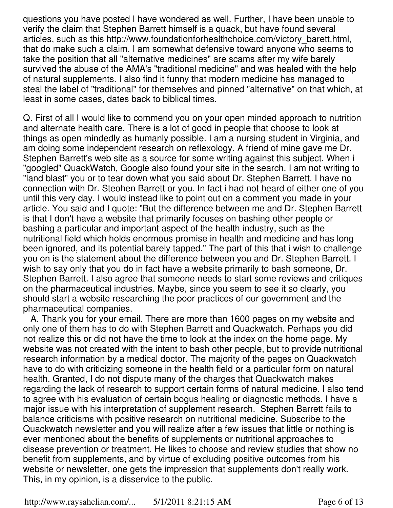questions you have posted I have wondered as well. Further, I have been unable to verify the claim that Stephen Barrett himself is a quack, but have found several articles, such as this http://www.foundationforhealthchoice.com/victory\_barett.html, that do make such a claim. I am somewhat defensive toward anyone who seems to take the position that all "alternative medicines" are scams after my wife barely survived the abuse of the AMA's "traditional medicine" and was healed with the help of natural supplements. I also find it funny that modern medicine has managed to steal the label of "traditional" for themselves and pinned "alternative" on that which, at least in some cases, dates back to biblical times.

Q. First of all I would like to commend you on your open minded approach to nutrition and alternate health care. There is a lot of good in people that choose to look at things as open mindedly as humanly possible. I am a nursing student in Virginia, and am doing some independent research on reflexology. A friend of mine gave me Dr. Stephen Barrett's web site as a source for some writing against this subject. When i "googled" QuackWatch, Google also found your site in the search. I am not writing to "land blast" you or to tear down what you said about Dr. Stephen Barrett. I have no connection with Dr. Steohen Barrett or you. In fact i had not heard of either one of you until this very day. I would instead like to point out on a comment you made in your article. You said and I quote: "But the difference between me and Dr. Stephen Barrett is that I don't have a website that primarily focuses on bashing other people or bashing a particular and important aspect of the health industry, such as the nutritional field which holds enormous promise in health and medicine and has long been ignored, and its potential barely tapped." The part of this that i wish to challenge you on is the statement about the difference between you and Dr. Stephen Barrett. I wish to say only that you do in fact have a website primarily to bash someone, Dr. Stephen Barrett. I also agree that someone needs to start some reviews and critiques on the pharmaceutical industries. Maybe, since you seem to see it so clearly, you should start a website researching the poor practices of our government and the pharmaceutical companies.

 A. Thank you for your email. There are more than 1600 pages on my website and only one of them has to do with Stephen Barrett and Quackwatch. Perhaps you did not realize this or did not have the time to look at the index on the home page. My website was not created with the intent to bash other people, but to provide nutritional research information by a medical doctor. The majority of the pages on Quackwatch have to do with criticizing someone in the health field or a particular form on natural health. Granted, I do not dispute many of the charges that Quackwatch makes regarding the lack of research to support certain forms of natural medicine. I also tend to agree with his evaluation of certain bogus healing or diagnostic methods. I have a major issue with his interpretation of supplement research. Stephen Barrett fails to balance criticisms with positive research on nutritional medicine. Subscribe to the Quackwatch newsletter and you will realize after a few issues that little or nothing is ever mentioned about the benefits of supplements or nutritional approaches to disease prevention or treatment. He likes to choose and review studies that show no benefit from supplements, and by virtue of excluding positive outcomes from his website or newsletter, one gets the impression that supplements don't really work. This, in my opinion, is a disservice to the public.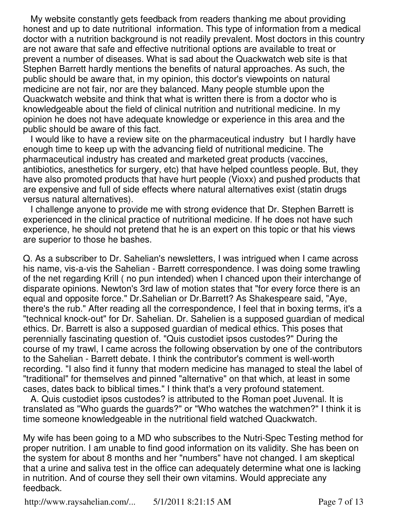My website constantly gets feedback from readers thanking me about providing honest and up to date nutritional information. This type of information from a medical doctor with a nutrition background is not readily prevalent. Most doctors in this country are not aware that safe and effective nutritional options are available to treat or prevent a number of diseases. What is sad about the Quackwatch web site is that Stephen Barrett hardly mentions the benefits of natural approaches. As such, the public should be aware that, in my opinion, this doctor's viewpoints on natural medicine are not fair, nor are they balanced. Many people stumble upon the Quackwatch website and think that what is written there is from a doctor who is knowledgeable about the field of clinical nutrition and nutritional medicine. In my opinion he does not have adequate knowledge or experience in this area and the public should be aware of this fact.

 I would like to have a review site on the pharmaceutical industry but I hardly have enough time to keep up with the advancing field of nutritional medicine. The pharmaceutical industry has created and marketed great products (vaccines, antibiotics, anesthetics for surgery, etc) that have helped countless people. But, they have also promoted products that have hurt people (Vioxx) and pushed products that are expensive and full of side effects where natural alternatives exist (statin drugs versus natural alternatives).

 I challenge anyone to provide me with strong evidence that Dr. Stephen Barrett is experienced in the clinical practice of nutritional medicine. If he does not have such experience, he should not pretend that he is an expert on this topic or that his views are superior to those he bashes.

Q. As a subscriber to Dr. Sahelian's newsletters, I was intrigued when I came across his name, vis-a-vis the Sahelian - Barrett correspondence. I was doing some trawling of the net regarding Krill ( no pun intended) when I chanced upon their interchange of disparate opinions. Newton's 3rd law of motion states that "for every force there is an equal and opposite force." Dr.Sahelian or Dr.Barrett? As Shakespeare said, "Aye, there's the rub." After reading all the correspondence, I feel that in boxing terms, it's a "technical knock-out" for Dr. Sahelian. Dr. Sahelien is a supposed guardian of medical ethics. Dr. Barrett is also a supposed guardian of medical ethics. This poses that perennially fascinating question of. "Quis custodiet ipsos custodes?" During the course of my trawl, I came across the following observation by one of the contributors to the Sahelian - Barrett debate. I think the contributor's comment is well-worth recording. "I also find it funny that modern medicine has managed to steal the label of "traditional" for themselves and pinned "alternative" on that which, at least in some cases, dates back to biblical times." I think that's a very profound statement.

 A. Quis custodiet ipsos custodes? is attributed to the Roman poet Juvenal. It is translated as "Who guards the guards?" or "Who watches the watchmen?" I think it is time someone knowledgeable in the nutritional field watched Quackwatch.

My wife has been going to a MD who subscribes to the Nutri-Spec Testing method for proper nutrition. I am unable to find good information on its validity. She has been on the system for about 8 months and her "numbers" have not changed. I am skeptical that a urine and saliva test in the office can adequately determine what one is lacking in nutrition. And of course they sell their own vitamins. Would appreciate any feedback.

http://www.raysahelian.com/... 5/1/2011 8:21:15 AM Page 7 of 13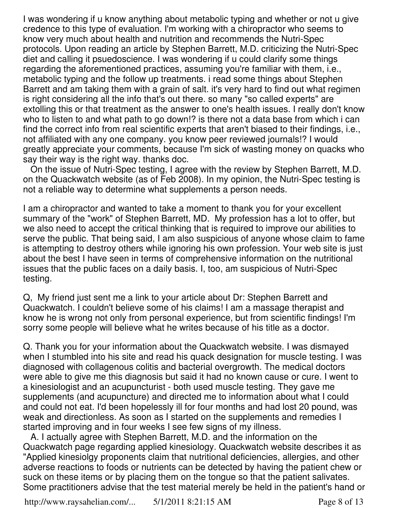I was wondering if u know anything about metabolic typing and whether or not u give credence to this type of evaluation. I'm working with a chiropractor who seems to know very much about health and nutrition and recommends the Nutri-Spec protocols. Upon reading an article by Stephen Barrett, M.D. criticizing the Nutri-Spec diet and calling it psuedoscience. I was wondering if u could clarify some things regarding the aforementioned practices, assuming you're familiar with them, i.e., metabolic typing and the follow up treatments. i read some things about Stephen Barrett and am taking them with a grain of salt. it's very hard to find out what regimen is right considering all the info that's out there. so many "so called experts" are extolling this or that treatment as the answer to one's health issues. I really don't know who to listen to and what path to go down!? is there not a data base from which i can find the correct info from real scientific experts that aren't biased to their findings, i.e., not affiliated with any one company. you know peer reviewed journals!? I would greatly appreciate your comments, because I'm sick of wasting money on quacks who say their way is the right way. thanks doc.

 On the issue of Nutri-Spec testing, I agree with the review by Stephen Barrett, M.D. on the Quackwatch website (as of Feb 2008). In my opinion, the Nutri-Spec testing is not a reliable way to determine what supplements a person needs.

I am a chiropractor and wanted to take a moment to thank you for your excellent summary of the "work" of Stephen Barrett, MD. My profession has a lot to offer, but we also need to accept the critical thinking that is required to improve our abilities to serve the public. That being said, I am also suspicious of anyone whose claim to fame is attempting to destroy others while ignoring his own profession. Your web site is just about the best I have seen in terms of comprehensive information on the nutritional issues that the public faces on a daily basis. I, too, am suspicious of Nutri-Spec testing.

Q, My friend just sent me a link to your article about Dr: Stephen Barrett and Quackwatch. I couldn't believe some of his claims! I am a massage therapist and know he is wrong not only from personal experience, but from scientific findings! I'm sorry some people will believe what he writes because of his title as a doctor.

Q. Thank you for your information about the Quackwatch website. I was dismayed when I stumbled into his site and read his quack designation for muscle testing. I was diagnosed with collagenous colitis and bacterial overgrowth. The medical doctors were able to give me this diagnosis but said it had no known cause or cure. I went to a kinesiologist and an acupuncturist - both used muscle testing. They gave me supplements (and acupuncture) and directed me to information about what I could and could not eat. I'd been hopelessly ill for four months and had lost 20 pound, was weak and directionless. As soon as I started on the supplements and remedies I started improving and in four weeks I see few signs of my illness.

 A. I actually agree with Stephen Barrett, M.D. and the information on the Quackwatch page regarding applied kinesiology. Quackwatch website describes it as "Applied kinesiolgy proponents claim that nutritional deficiencies, allergies, and other adverse reactions to foods or nutrients can be detected by having the patient chew or suck on these items or by placing them on the tongue so that the patient salivates. Some practitioners advise that the test material merely be held in the patient's hand or

http://www.raysahelian.com/... 5/1/2011 8:21:15 AM Page 8 of 13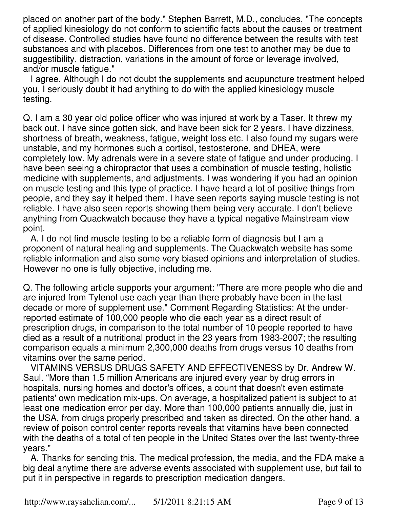placed on another part of the body." Stephen Barrett, M.D., concludes, "The concepts of applied kinesiology do not conform to scientific facts about the causes or treatment of disease. Controlled studies have found no difference between the results with test substances and with placebos. Differences from one test to another may be due to suggestibility, distraction, variations in the amount of force or leverage involved, and/or muscle fatigue."

 I agree. Although I do not doubt the supplements and acupuncture treatment helped you, I seriously doubt it had anything to do with the applied kinesiology muscle testing.

Q. I am a 30 year old police officer who was injured at work by a Taser. It threw my back out. I have since gotten sick, and have been sick for 2 years. I have dizziness, shortness of breath, weakness, fatigue, weight loss etc. I also found my sugars were unstable, and my hormones such a cortisol, testosterone, and DHEA, were completely low. My adrenals were in a severe state of fatigue and under producing. I have been seeing a chiropractor that uses a combination of muscle testing, holistic medicine with supplements, and adjustments. I was wondering if you had an opinion on muscle testing and this type of practice. I have heard a lot of positive things from people, and they say it helped them. I have seen reports saying muscle testing is not reliable. I have also seen reports showing them being very accurate. I don't believe anything from Quackwatch because they have a typical negative Mainstream view point.

 A. I do not find muscle testing to be a reliable form of diagnosis but I am a proponent of natural healing and supplements. The Quackwatch website has some reliable information and also some very biased opinions and interpretation of studies. However no one is fully objective, including me.

Q. The following article supports your argument: "There are more people who die and are injured from Tylenol use each year than there probably have been in the last decade or more of supplement use." Comment Regarding Statistics: At the underreported estimate of 100,000 people who die each year as a direct result of prescription drugs, in comparison to the total number of 10 people reported to have died as a result of a nutritional product in the 23 years from 1983-2007; the resulting comparison equals a minimum 2,300,000 deaths from drugs versus 10 deaths from vitamins over the same period.

 VITAMINS VERSUS DRUGS SAFETY AND EFFECTIVENESS by Dr. Andrew W. Saul. "More than 1.5 million Americans are injured every year by drug errors in hospitals, nursing homes and doctor's offices, a count that doesn't even estimate patients' own medication mix-ups. On average, a hospitalized patient is subject to at least one medication error per day. More than 100,000 patients annually die, just in the USA, from drugs properly prescribed and taken as directed. On the other hand, a review of poison control center reports reveals that vitamins have been connected with the deaths of a total of ten people in the United States over the last twenty-three years."

 A. Thanks for sending this. The medical profession, the media, and the FDA make a big deal anytime there are adverse events associated with supplement use, but fail to put it in perspective in regards to prescription medication dangers.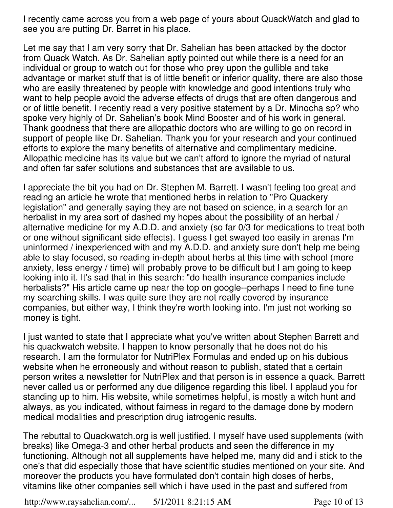I recently came across you from a web page of yours about QuackWatch and glad to see you are putting Dr. Barret in his place.

Let me say that I am very sorry that Dr. Sahelian has been attacked by the doctor from Quack Watch. As Dr. Sahelian aptly pointed out while there is a need for an individual or group to watch out for those who prey upon the gullible and take advantage or market stuff that is of little benefit or inferior quality, there are also those who are easily threatened by people with knowledge and good intentions truly who want to help people avoid the adverse effects of drugs that are often dangerous and or of little benefit. I recently read a very positive statement by a Dr. Minocha sp? who spoke very highly of Dr. Sahelian's book Mind Booster and of his work in general. Thank goodness that there are allopathic doctors who are willing to go on record in support of people like Dr. Sahelian. Thank you for your research and your continued efforts to explore the many benefits of alternative and complimentary medicine. Allopathic medicine has its value but we can't afford to ignore the myriad of natural and often far safer solutions and substances that are available to us.

I appreciate the bit you had on Dr. Stephen M. Barrett. I wasn't feeling too great and reading an article he wrote that mentioned herbs in relation to "Pro Quackery legislation" and generally saying they are not based on science, in a search for an herbalist in my area sort of dashed my hopes about the possibility of an herbal / alternative medicine for my A.D.D. and anxiety (so far 0/3 for medications to treat both or one without significant side effects). I guess I get swayed too easily in arenas I'm uninformed / inexperienced with and my A.D.D. and anxiety sure don't help me being able to stay focused, so reading in-depth about herbs at this time with school (more anxiety, less energy / time) will probably prove to be difficult but I am going to keep looking into it. It's sad that in this search: "do health insurance companies include herbalists?" His article came up near the top on google--perhaps I need to fine tune my searching skills. I was quite sure they are not really covered by insurance companies, but either way, I think they're worth looking into. I'm just not working so money is tight.

I just wanted to state that I appreciate what you've written about Stephen Barrett and his quackwatch website. I happen to know personally that he does not do his research. I am the formulator for NutriPlex Formulas and ended up on his dubious website when he erroneously and without reason to publish, stated that a certain person writes a newsletter for NutriPlex and that person is in essence a quack. Barrett never called us or performed any due diligence regarding this libel. I applaud you for standing up to him. His website, while sometimes helpful, is mostly a witch hunt and always, as you indicated, without fairness in regard to the damage done by modern medical modalities and prescription drug iatrogenic results.

The rebuttal to Quackwatch.org is well justified. I myself have used supplements (with breaks) like Omega-3 and other herbal products and seen the difference in my functioning. Although not all supplements have helped me, many did and i stick to the one's that did especially those that have scientific studies mentioned on your site. And moreover the products you have formulated don't contain high doses of herbs, vitamins like other companies sell which i have used in the past and suffered from

http://www.raysahelian.com/... 5/1/2011 8:21:15 AM Page 10 of 13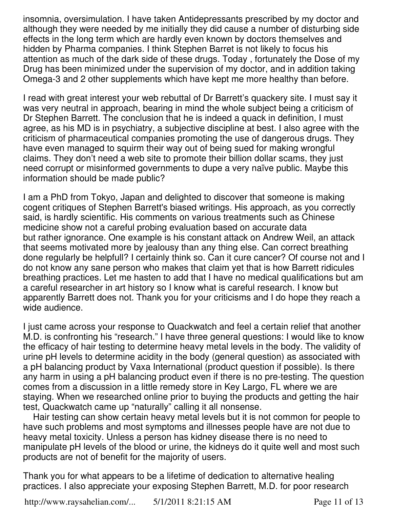insomnia, oversimulation. I have taken Antidepressants prescribed by my doctor and although they were needed by me initially they did cause a number of disturbing side effects in the long term which are hardly even known by doctors themselves and hidden by Pharma companies. I think Stephen Barret is not likely to focus his attention as much of the dark side of these drugs. Today , fortunately the Dose of my Drug has been minimized under the supervision of my doctor, and in addition taking Omega-3 and 2 other supplements which have kept me more healthy than before.

I read with great interest your web rebuttal of Dr Barrett's quackery site. I must say it was very neutral in approach, bearing in mind the whole subject being a criticism of Dr Stephen Barrett. The conclusion that he is indeed a quack in definition, I must agree, as his MD is in psychiatry, a subjective discipline at best. I also agree with the criticism of pharmaceutical companies promoting the use of dangerous drugs. They have even managed to squirm their way out of being sued for making wrongful claims. They don't need a web site to promote their billion dollar scams, they just need corrupt or misinformed governments to dupe a very naïve public. Maybe this information should be made public?

I am a PhD from Tokyo, Japan and delighted to discover that someone is making cogent critiques of Stephen Barrett's biased writings. His approach, as you correctly said, is hardly scientific. His comments on various treatments such as Chinese medicine show not a careful probing evaluation based on accurate data but rather ignorance. One example is his constant attack on Andrew Weil, an attack that seems motivated more by jealousy than any thing else. Can correct breathing done regularly be helpfull? I certainly think so. Can it cure cancer? Of course not and I do not know any sane person who makes that claim yet that is how Barrett ridicules breathing practices. Let me hasten to add that I have no medical qualifications but am a careful researcher in art history so I know what is careful research. I know but apparently Barrett does not. Thank you for your criticisms and I do hope they reach a wide audience.

I just came across your response to Quackwatch and feel a certain relief that another M.D. is confronting his "research." I have three general questions: I would like to know the efficacy of hair testing to determine heavy metal levels in the body. The validity of urine pH levels to determine acidity in the body (general question) as associated with a pH balancing product by Vaxa International (product question if possible). Is there any harm in using a pH balancing product even if there is no pre-testing. The question comes from a discussion in a little remedy store in Key Largo, FL where we are staying. When we researched online prior to buying the products and getting the hair test, Quackwatch came up "naturally" calling it all nonsense.

 Hair testing can show certain heavy metal levels but it is not common for people to have such problems and most symptoms and illnesses people have are not due to heavy metal toxicity. Unless a person has kidney disease there is no need to manipulate pH levels of the blood or urine, the kidneys do it quite well and most such products are not of benefit for the majority of users.

Thank you for what appears to be a lifetime of dedication to alternative healing practices. I also appreciate your exposing Stephen Barrett, M.D. for poor research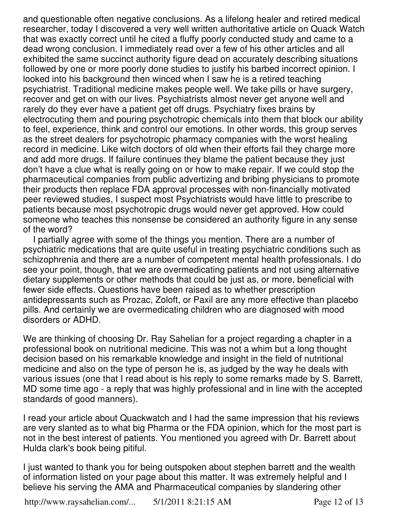and questionable often negative conclusions. As a lifelong healer and retired medical researcher, today I discovered a very well written authoritative article on Quack Watch that was exactly correct until he cited a fluffy poorly conducted study and came to a dead wrong conclusion. I immediately read over a few of his other articles and all exhibited the same succinct authority figure dead on accurately describing situations followed by one or more poorly done studies to justify his barbed incorrect opinion. I looked into his background then winced when I saw he is a retired teaching psychiatrist. Traditional medicine makes people well. We take pills or have surgery, recover and get on with our lives. Psychiatrists almost never get anyone well and rarely do they ever have a patient get off drugs. Psychiatry fixes brains by electrocuting them and pouring psychotropic chemicals into them that block our ability to feel, experience, think and control our emotions. In other words, this group serves as the street dealers for psychotropic pharmacy companies with the worst healing record in medicine. Like witch doctors of old when their efforts fail they charge more and add more drugs. If failure continues they blame the patient because they just don't have a clue what is really going on or how to make repair. If we could stop the pharmaceutical companies from public advertizing and bribing physicians to promote their products then replace FDA approval processes with non-financially motivated peer reviewed studies, I suspect most Psychiatrists would have little to prescribe to patients because most psychotropic drugs would never get approved. How could someone who teaches this nonsense be considered an authority figure in any sense of the word?

 I partially agree with some of the things you mention. There are a number of psychiatric medications that are quite useful in treating psychiatric conditions such as schizophrenia and there are a number of competent mental health professionals. I do see your point, though, that we are overmedicating patients and not using alternative dietary supplements or other methods that could be just as, or more, beneficial with fewer side effects. Questions have been raised as to whether prescription antidepressants such as Prozac, Zoloft, or Paxil are any more effective than placebo pills. And certainly we are overmedicating children who are diagnosed with mood disorders or ADHD.

We are thinking of choosing Dr. Ray Sahelian for a project regarding a chapter in a professional book on nutritional medicine. This was not a whim but a long thought decision based on his remarkable knowledge and insight in the field of nutritional medicine and also on the type of person he is, as judged by the way he deals with various issues (one that I read about is his reply to some remarks made by S. Barrett, MD some time ago - a reply that was highly professional and in line with the accepted standards of good manners).

I read your article about Quackwatch and I had the same impression that his reviews are very slanted as to what big Pharma or the FDA opinion, which for the most part is not in the best interest of patients. You mentioned you agreed with Dr. Barrett about Hulda clark's book being pitiful.

I just wanted to thank you for being outspoken about stephen barrett and the wealth of information listed on your page about this matter. It was extremely helpful and I believe his serving the AMA and Pharmaceutical companies by slandering other